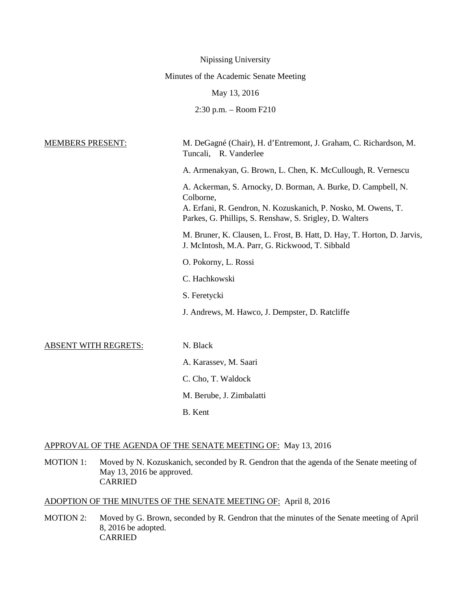|                             | Nipissing University                                                                                                                                                                                   |
|-----------------------------|--------------------------------------------------------------------------------------------------------------------------------------------------------------------------------------------------------|
|                             | Minutes of the Academic Senate Meeting                                                                                                                                                                 |
|                             | May 13, 2016                                                                                                                                                                                           |
|                             | $2:30$ p.m. $-$ Room F210                                                                                                                                                                              |
| <b>MEMBERS PRESENT:</b>     | M. DeGagné (Chair), H. d'Entremont, J. Graham, C. Richardson, M.<br>Tuncali, R. Vanderlee                                                                                                              |
|                             | A. Armenakyan, G. Brown, L. Chen, K. McCullough, R. Vernescu                                                                                                                                           |
|                             | A. Ackerman, S. Arnocky, D. Borman, A. Burke, D. Campbell, N.<br>Colborne,<br>A. Erfani, R. Gendron, N. Kozuskanich, P. Nosko, M. Owens, T.<br>Parkes, G. Phillips, S. Renshaw, S. Srigley, D. Walters |
|                             | M. Bruner, K. Clausen, L. Frost, B. Hatt, D. Hay, T. Horton, D. Jarvis,<br>J. McIntosh, M.A. Parr, G. Rickwood, T. Sibbald                                                                             |
|                             | O. Pokorny, L. Rossi                                                                                                                                                                                   |
|                             | C. Hachkowski                                                                                                                                                                                          |
|                             | S. Feretycki                                                                                                                                                                                           |
|                             | J. Andrews, M. Hawco, J. Dempster, D. Ratcliffe                                                                                                                                                        |
| <b>ABSENT WITH REGRETS:</b> | N. Black                                                                                                                                                                                               |
|                             | A. Karassev, M. Saari                                                                                                                                                                                  |
|                             | C. Cho, T. Waldock                                                                                                                                                                                     |

B. Kent

# APPROVAL OF THE AGENDA OF THE SENATE MEETING OF: May 13, 2016

MOTION 1: Moved by N. Kozuskanich, seconded by R. Gendron that the agenda of the Senate meeting of May 13, 2016 be approved. CARRIED

M. Berube, J. Zimbalatti

# ADOPTION OF THE MINUTES OF THE SENATE MEETING OF: April 8, 2016

MOTION 2: Moved by G. Brown, seconded by R. Gendron that the minutes of the Senate meeting of April 8, 2016 be adopted. CARRIED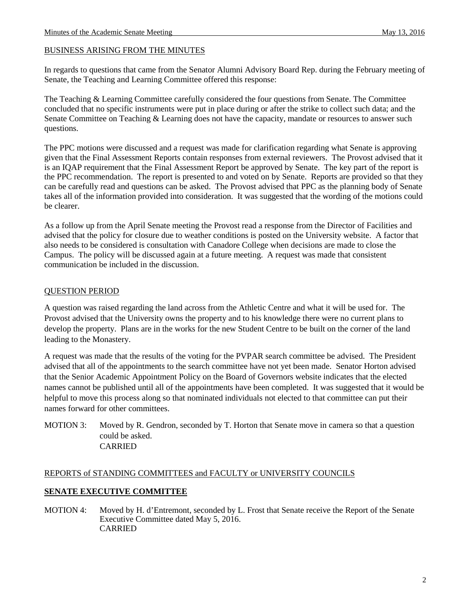#### BUSINESS ARISING FROM THE MINUTES

In regards to questions that came from the Senator Alumni Advisory Board Rep. during the February meeting of Senate, the Teaching and Learning Committee offered this response:

The Teaching & Learning Committee carefully considered the four questions from Senate. The Committee concluded that no specific instruments were put in place during or after the strike to collect such data; and the Senate Committee on Teaching & Learning does not have the capacity, mandate or resources to answer such questions.

The PPC motions were discussed and a request was made for clarification regarding what Senate is approving given that the Final Assessment Reports contain responses from external reviewers. The Provost advised that it is an IQAP requirement that the Final Assessment Report be approved by Senate. The key part of the report is the PPC recommendation. The report is presented to and voted on by Senate. Reports are provided so that they can be carefully read and questions can be asked. The Provost advised that PPC as the planning body of Senate takes all of the information provided into consideration. It was suggested that the wording of the motions could be clearer.

As a follow up from the April Senate meeting the Provost read a response from the Director of Facilities and advised that the policy for closure due to weather conditions is posted on the University website. A factor that also needs to be considered is consultation with Canadore College when decisions are made to close the Campus. The policy will be discussed again at a future meeting. A request was made that consistent communication be included in the discussion.

#### QUESTION PERIOD

A question was raised regarding the land across from the Athletic Centre and what it will be used for. The Provost advised that the University owns the property and to his knowledge there were no current plans to develop the property. Plans are in the works for the new Student Centre to be built on the corner of the land leading to the Monastery.

A request was made that the results of the voting for the PVPAR search committee be advised. The President advised that all of the appointments to the search committee have not yet been made. Senator Horton advised that the Senior Academic Appointment Policy on the Board of Governors website indicates that the elected names cannot be published until all of the appointments have been completed. It was suggested that it would be helpful to move this process along so that nominated individuals not elected to that committee can put their names forward for other committees.

MOTION 3: Moved by R. Gendron, seconded by T. Horton that Senate move in camera so that a question could be asked. CARRIED

#### REPORTS of STANDING COMMITTEES and FACULTY or UNIVERSITY COUNCILS

## **SENATE EXECUTIVE COMMITTEE**

MOTION 4: Moved by H. d'Entremont, seconded by L. Frost that Senate receive the Report of the Senate Executive Committee dated May 5, 2016. CARRIED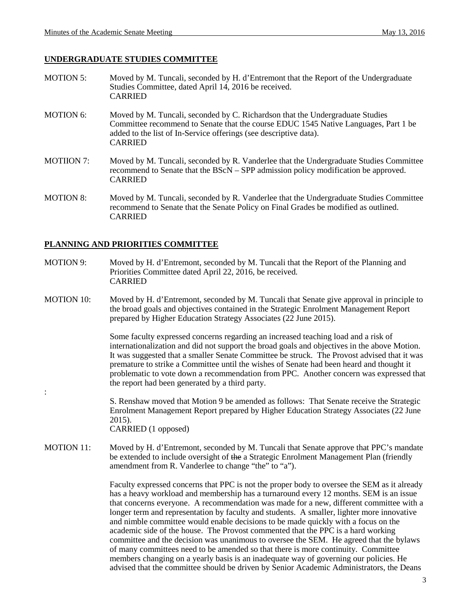## **UNDERGRADUATE STUDIES COMMITTEE**

- MOTION 5: Moved by M. Tuncali, seconded by H. d'Entremont that the Report of the Undergraduate Studies Committee, dated April 14, 2016 be received. CARRIED
- MOTION 6: Moved by M. Tuncali, seconded by C. Richardson that the Undergraduate Studies Committee recommend to Senate that the course EDUC 1545 Native Languages, Part 1 be added to the list of In-Service offerings (see descriptive data). CARRIED
- MOTIION 7: Moved by M. Tuncali, seconded by R. Vanderlee that the Undergraduate Studies Committee recommend to Senate that the BScN – SPP admission policy modification be approved. CARRIED
- MOTION 8: Moved by M. Tuncali, seconded by R. Vanderlee that the Undergraduate Studies Committee recommend to Senate that the Senate Policy on Final Grades be modified as outlined. CARRIED

## **PLANNING AND PRIORITIES COMMITTEE**

:

- MOTION 9: Moved by H. d'Entremont, seconded by M. Tuncali that the Report of the Planning and Priorities Committee dated April 22, 2016, be received. CARRIED
- MOTION 10: Moved by H. d'Entremont, seconded by M. Tuncali that Senate give approval in principle to the broad goals and objectives contained in the Strategic Enrolment Management Report prepared by Higher Education Strategy Associates (22 June 2015).

Some faculty expressed concerns regarding an increased teaching load and a risk of internationalization and did not support the broad goals and objectives in the above Motion. It was suggested that a smaller Senate Committee be struck. The Provost advised that it was premature to strike a Committee until the wishes of Senate had been heard and thought it problematic to vote down a recommendation from PPC. Another concern was expressed that the report had been generated by a third party.

S. Renshaw moved that Motion 9 be amended as follows: That Senate receive the Strategic Enrolment Management Report prepared by Higher Education Strategy Associates (22 June 2015). CARRIED (1 opposed)

MOTION 11: Moved by H. d'Entremont, seconded by M. Tuncali that Senate approve that PPC's mandate be extended to include oversight of the a Strategic Enrolment Management Plan (friendly amendment from R. Vanderlee to change "the" to "a").

> Faculty expressed concerns that PPC is not the proper body to oversee the SEM as it already has a heavy workload and membership has a turnaround every 12 months. SEM is an issue that concerns everyone. A recommendation was made for a new, different committee with a longer term and representation by faculty and students. A smaller, lighter more innovative and nimble committee would enable decisions to be made quickly with a focus on the academic side of the house. The Provost commented that the PPC is a hard working committee and the decision was unanimous to oversee the SEM. He agreed that the bylaws of many committees need to be amended so that there is more continuity. Committee members changing on a yearly basis is an inadequate way of governing our policies. He advised that the committee should be driven by Senior Academic Administrators, the Deans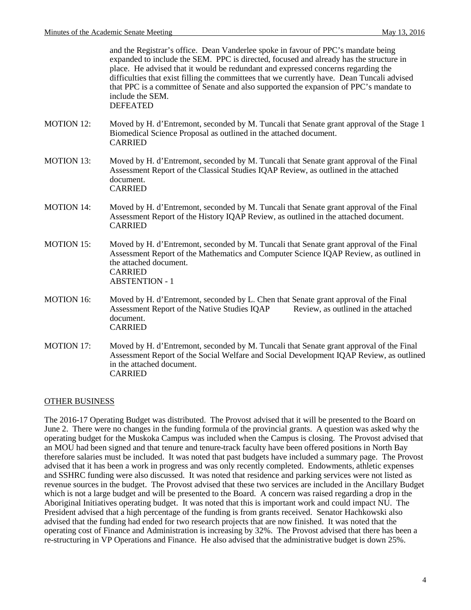and the Registrar's office. Dean Vanderlee spoke in favour of PPC's mandate being expanded to include the SEM. PPC is directed, focused and already has the structure in place. He advised that it would be redundant and expressed concerns regarding the difficulties that exist filling the committees that we currently have. Dean Tuncali advised that PPC is a committee of Senate and also supported the expansion of PPC's mandate to include the SEM.

DEFEATED

- MOTION 12: Moved by H. d'Entremont, seconded by M. Tuncali that Senate grant approval of the Stage 1 Biomedical Science Proposal as outlined in the attached document. CARRIED
- MOTION 13: Moved by H. d'Entremont, seconded by M. Tuncali that Senate grant approval of the Final Assessment Report of the Classical Studies IQAP Review, as outlined in the attached document. CARRIED
- MOTION 14: Moved by H. d'Entremont, seconded by M. Tuncali that Senate grant approval of the Final Assessment Report of the History IQAP Review, as outlined in the attached document. CARRIED
- MOTION 15: Moved by H. d'Entremont, seconded by M. Tuncali that Senate grant approval of the Final Assessment Report of the Mathematics and Computer Science IQAP Review, as outlined in the attached document. CARRIED ABSTENTION - 1
- MOTION 16: Moved by H. d'Entremont, seconded by L. Chen that Senate grant approval of the Final Assessment Report of the Native Studies IQAP Review, as outlined in the attached document. CARRIED
- MOTION 17: Moved by H. d'Entremont, seconded by M. Tuncali that Senate grant approval of the Final Assessment Report of the Social Welfare and Social Development IQAP Review, as outlined in the attached document. CARRIED

#### OTHER BUSINESS

The 2016-17 Operating Budget was distributed. The Provost advised that it will be presented to the Board on June 2. There were no changes in the funding formula of the provincial grants. A question was asked why the operating budget for the Muskoka Campus was included when the Campus is closing. The Provost advised that an MOU had been signed and that tenure and tenure-track faculty have been offered positions in North Bay therefore salaries must be included. It was noted that past budgets have included a summary page. The Provost advised that it has been a work in progress and was only recently completed. Endowments, athletic expenses and SSHRC funding were also discussed. It was noted that residence and parking services were not listed as revenue sources in the budget. The Provost advised that these two services are included in the Ancillary Budget which is not a large budget and will be presented to the Board. A concern was raised regarding a drop in the Aboriginal Initiatives operating budget. It was noted that this is important work and could impact NU. The President advised that a high percentage of the funding is from grants received. Senator Hachkowski also advised that the funding had ended for two research projects that are now finished. It was noted that the operating cost of Finance and Administration is increasing by 32%. The Provost advised that there has been a re-structuring in VP Operations and Finance. He also advised that the administrative budget is down 25%.